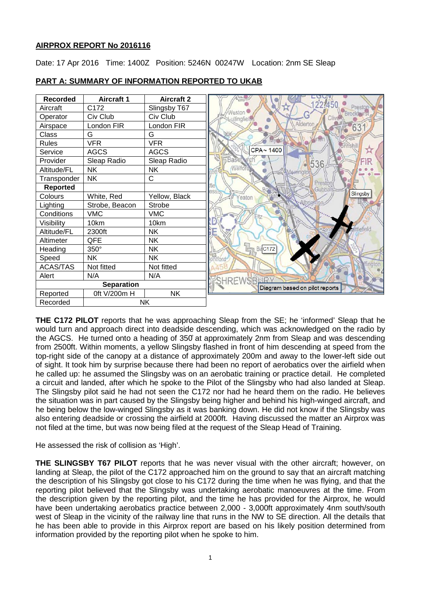# **AIRPROX REPORT No 2016116**

Date: 17 Apr 2016 Time: 1400Z Position: 5246N 00247W Location: 2nm SE Sleap



# **PART A: SUMMARY OF INFORMATION REPORTED TO UKAB**

**THE C172 PILOT** reports that he was approaching Sleap from the SE; he 'informed' Sleap that he would turn and approach direct into deadside descending, which was acknowledged on the radio by the AGCS. He turned onto a heading of 350̊ at approximately 2nm from Sleap and was descending from 2500ft. Within moments, a yellow Slingsby flashed in front of him descending at speed from the top-right side of the canopy at a distance of approximately 200m and away to the lower-left side out of sight. It took him by surprise because there had been no report of aerobatics over the airfield when he called up: he assumed the Slingsby was on an aerobatic training or practice detail. He completed a circuit and landed, after which he spoke to the Pilot of the Slingsby who had also landed at Sleap. The Slingsby pilot said he had not seen the C172 nor had he heard them on the radio. He believes the situation was in part caused by the Slingsby being higher and behind his high-winged aircraft, and he being below the low-winged Slingsby as it was banking down. He did not know if the Slingsby was also entering deadside or crossing the airfield at 2000ft. Having discussed the matter an Airprox was not filed at the time, but was now being filed at the request of the Sleap Head of Training.

He assessed the risk of collision as 'High'.

**THE SLINGSBY T67 PILOT** reports that he was never visual with the other aircraft; however, on landing at Sleap, the pilot of the C172 approached him on the ground to say that an aircraft matching the description of his Slingsby got close to his C172 during the time when he was flying, and that the reporting pilot believed that the Slingsby was undertaking aerobatic manoeuvres at the time. From the description given by the reporting pilot, and the time he has provided for the Airprox, he would have been undertaking aerobatics practice between 2,000 - 3,000ft approximately 4nm south/south west of Sleap in the vicinity of the railway line that runs in the NW to SE direction. All the details that he has been able to provide in this Airprox report are based on his likely position determined from information provided by the reporting pilot when he spoke to him.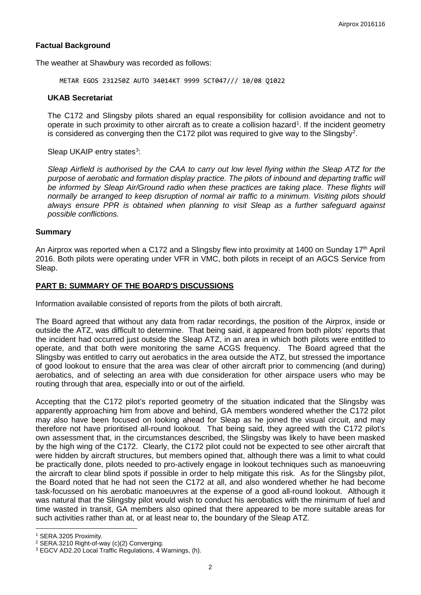## **Factual Background**

The weather at Shawbury was recorded as follows:

METAR EGOS 231250Z AUTO 34014KT 9999 SCT047/// 10/08 Q1022

#### **UKAB Secretariat**

The C172 and Slingsby pilots shared an equal responsibility for collision avoidance and not to operate in such proximity to other aircraft as to create a collision hazard<sup>[1](#page-1-0)</sup>. If the incident geometry is considered as converging then the C17[2](#page-1-1) pilot was required to give way to the Slingsby<sup>2</sup>.

Sleap UKAIP entry states<sup>[3](#page-1-2)</sup>:

*Sleap Airfield is authorised by the CAA to carry out low level flying within the Sleap ATZ for the purpose of aerobatic and formation display practice. The pilots of inbound and departing traffic will*  be informed by Sleap Air/Ground radio when these practices are taking place. These flights will *normally be arranged to keep disruption of normal air traffic to a minimum. Visiting pilots should always ensure PPR is obtained when planning to visit Sleap as a further safeguard against possible conflictions.*

### **Summary**

An Airprox was reported when a C172 and a Slingsby flew into proximity at 1400 on Sunday 17<sup>th</sup> April 2016. Both pilots were operating under VFR in VMC, both pilots in receipt of an AGCS Service from Sleap.

## **PART B: SUMMARY OF THE BOARD'S DISCUSSIONS**

Information available consisted of reports from the pilots of both aircraft.

The Board agreed that without any data from radar recordings, the position of the Airprox, inside or outside the ATZ, was difficult to determine. That being said, it appeared from both pilots' reports that the incident had occurred just outside the Sleap ATZ, in an area in which both pilots were entitled to operate, and that both were monitoring the same ACGS frequency. The Board agreed that the Slingsby was entitled to carry out aerobatics in the area outside the ATZ, but stressed the importance of good lookout to ensure that the area was clear of other aircraft prior to commencing (and during) aerobatics, and of selecting an area with due consideration for other airspace users who may be routing through that area, especially into or out of the airfield.

Accepting that the C172 pilot's reported geometry of the situation indicated that the Slingsby was apparently approaching him from above and behind, GA members wondered whether the C172 pilot may also have been focused on looking ahead for Sleap as he joined the visual circuit, and may therefore not have prioritised all-round lookout. That being said, they agreed with the C172 pilot's own assessment that, in the circumstances described, the Slingsby was likely to have been masked by the high wing of the C172. Clearly, the C172 pilot could not be expected to see other aircraft that were hidden by aircraft structures, but members opined that, although there was a limit to what could be practically done, pilots needed to pro-actively engage in lookout techniques such as manoeuvring the aircraft to clear blind spots if possible in order to help mitigate this risk. As for the Slingsby pilot, the Board noted that he had not seen the C172 at all, and also wondered whether he had become task-focussed on his aerobatic manoeuvres at the expense of a good all-round lookout. Although it was natural that the Slingsby pilot would wish to conduct his aerobatics with the minimum of fuel and time wasted in transit, GA members also opined that there appeared to be more suitable areas for such activities rather than at, or at least near to, the boundary of the Sleap ATZ.

 $\overline{\phantom{a}}$ 

<span id="page-1-0"></span><sup>1</sup> SERA.3205 Proximity.

<span id="page-1-1"></span><sup>2</sup> SERA.3210 Right-of-way (c)(2) Converging.

<span id="page-1-2"></span><sup>3</sup> EGCV AD2.20 Local Traffic Regulations, 4 Warnings, (h).